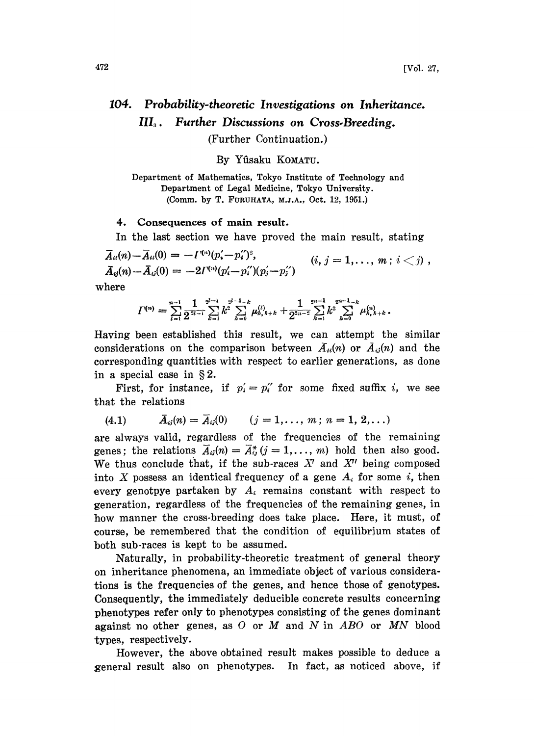## 104. Probability-theoretic Investigations on Inheritance. III<sub>3</sub>. Further Discussions on Cross-Breeding.

(Further Continuation.)

By Yfisaku KOMATU.

Department of Mathematics, Tokyo Institute of Technology and Department of Legal Medicine, Tokyo University. (Comm. by T. FURUHATA, M.J.A., Oct. 12, 1951.)

## 4. Consequences of main result.

In the last section we have proved the main result, stating

 $\overline{A}_{ii}(n) - \overline{A}_{ii}(0) = -\Gamma^{(n)}(p'_{i}-p'_{i})^{2}.$  $\bar{A}_{ij}(n)-\bar{A}_{ij}(0) = -2I^{(n)}(p'_i-p''_i)(p'_i-p''_i)$  $(i, j = 1, \ldots, m; i < j)$ ,

where

$$
\Gamma^{(n)} = \sum_{l=1}^{n-1} \frac{1}{2^{\frac{2l-1}{2l-1}}}\sum_{k=1}^{2^{l-1}} k^2 \sum_{h=0}^{2^{l-1}-k} \mu_{h,h+k}^{(l)} + \frac{1}{2^{\frac{2n-2}{2l-2}}}\sum_{k=1}^{2^{n-1}} k^2 \sum_{h=0}^{2^{n-1}-k} \mu_{h,h+k}^{(n)}.
$$

Having been established this result, we can attempt the similar considerations on the comparison between  $\bar{A}_{ii}(n)$  or  $\bar{A}_{ii}(n)$  and the corresponding quantities with respect to earlier generations, as done in a special case in  $\S 2$ .

First, for instance, if  $p'_i = p''_i$  for some fixed suffix i, we see that the relations

$$
(4.1) \qquad \bar{A}_{ij}(n) = \bar{A}_{ij}(0) \qquad (j = 1, \ldots, m; n = 1, 2, \ldots)
$$

are always valid, regardless of the frequencies of the remaining genes; the relations  $\overline{A}_{ij}(n) = \overline{A}_{ij}^*(j = 1, \ldots, m)$  hold then also good. We thus conclude that, if the sub-races  $X<sup>t</sup>$  and  $X<sup>t</sup>$  being composed into X possess an identical frequency of a gene  $A_i$  for some i, then every genotpye partaken by  $A_i$  remains constant with respect to generation, regardless of the frequencies of the remaining genes, in how manner the cross-breeding does take place. Here, it must, of course, be remembered that the condition of equilibrium states of both sub-races is kept to be assumed.

Naturally, in probability-theoretic treatment of general theory on inheritance phenomena, an immediate object of various considerations is the frequencies of the genes, and hence those of genotypes. Consequently, the immediately deducible concrete results concerning phenotypes refer only to phenotypes consisting of the genes dominant against no other genes, as  $O$  or  $M$  and  $N$  in  $ABO$  or  $MN$  blood types, respectively.

However, the above obtained result makes possible to deduce a general result also on phenotypes. In fact, as noticed above, if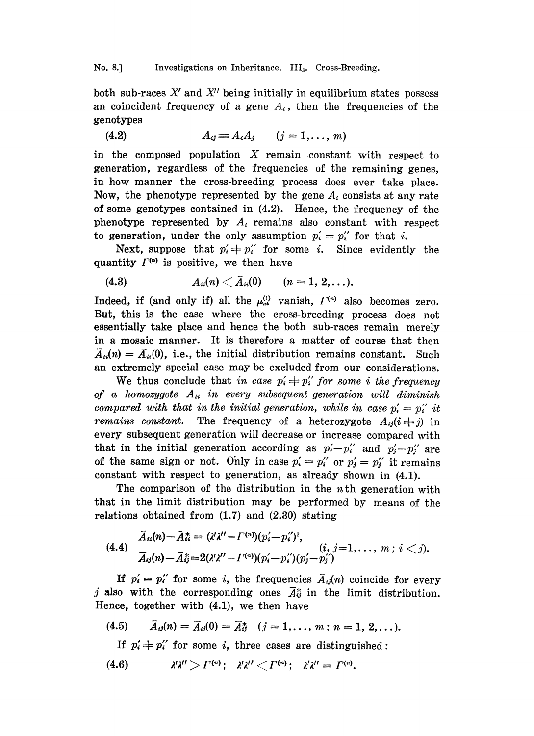## No. 8.] Investigations on Inheritance. III<sub>3</sub>. Cross-Breeding.

both sub-races  $X'$  and  $X''$  being initially in equilibrium states possess an coincident frequency of a gene  $A_i$ , then the frequencies of the genotypes

$$
(4.2) \t A_{ij} \equiv A_i A_j \t (j = 1, \ldots, m)
$$

in the composed population  $X$  remain constant with respect to generation, regardless of the frequencies of the remaining genes, in how manner the cross-breeding process does ever take place. Now, the phenotype represented by the gene  $A_i$  consists at any rate of some genotypes contained in (4.2). Hence, the frequency of the phenotype represented by  $A_i$  remains also constant with respect to generation, under the only assumption  $p_i' = p_i''$  for that i.

Next, suppose that  $p'_i \neq p''_i$  for some i. Since evidently the quantity  $\Gamma^{(n)}$  is positive, we then have

(4.3) 
$$
A_{ii}(n) \leq \overline{A}_{ii}(0)
$$
  $(n = 1, 2, ...).$ 

Indeed, if (and only if) all the  $\mu_{\omega}^{(1)}$  vanish,  $\Gamma^{(n)}$  also becomes zero. But, this is the case where the cross-breeding process does not essentially take place and hence the both sub-races remain merely in a mosaic manner. It is therefore a matter of course that then  $\bar{A}_{ii}(n)=\bar{A}_{ii}(0)$ , i.e., the initial distribution remains constant. Such an extremely special case may be excluded from our considerations.

We thus conclude that in case  $p'_i \neq p''_i$  for some i the frequency of a homozygote  $A_{ii}$  in every subsequent generation will diminish compared with that in the initial generation, while in case  $p'_{i} = p''_i$  it remains constant. The frequency of a heterozygote  $A_{ij}(i \neq j)$  in every subsequent generation will decrease or increase compared with that in the initial generation according as  $p'_i-p''_i$  and  $p'_i-p''_i$  are of the same sign or not. Only in case  $p' = p''_i$  or  $p' = p''_j$  it remains constant with respect to generation, as already shown in (4.1).

The comparison of the distribution in the  $n$ <sup>th</sup> generation with that in the limit distribution may be performed by means of the relations obtained from  $(1.7)$  and  $(2.30)$  stating

$$
(4.4) \quad \bar{A}_{ii}(n) - \bar{A}_{ii}^* = (\lambda' \lambda'' - \Gamma^{(n)})(p_i' - p_i'')^2, \bar{A}_{ij}(n) - \bar{A}_{ij}^* = 2(\lambda' \lambda'' - \Gamma^{(n)})(p_i' - p_i'')(p_j' - p_j'') \bar{A}_{ij}(n) - \bar{A}_{ij}^* = 2(\lambda' \lambda'' - \Gamma^{(n)})(p_i' - p_i'')(p_j' - p_j'')
$$

If  $p'_i = p''_i$  for some i, the frequencies  $\bar{A}_{ij}(n)$  coincide for every j also with the corresponding ones  $\bar{A}_{ij}^*$  in the limit distribution. Hence, together with (4.1), we then have

(4.5) 
$$
\bar{A}_{ij}(n) = \bar{A}_{ij}(0) = \bar{A}_{ij}^*
$$
  $(j = 1, ..., m; n = 1, 2, ...).$ 

If  $p'_i \neq p''_i$  for some i, three cases are distinguished:

(4.6)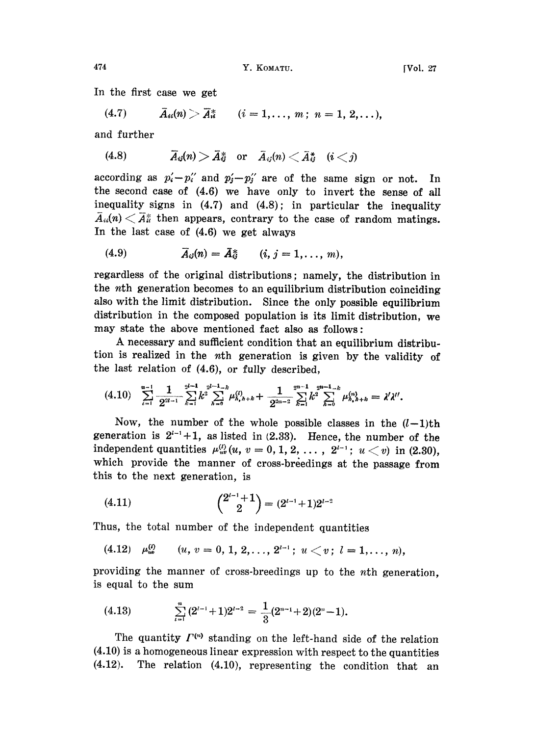(4.7)  $\bar{A}_{ii}(n) > \bar{A}_{ii}^*$   $(i = 1, \ldots, m; n = 1, 2, \ldots),$ 

and further

$$
(4.8) \t\t \overline{A}_{ij}(n) > \overline{A}_{ij}^* \t or \t \overline{A}_{ij}(n) < \overline{A}_{ij}^* \t (i < j)
$$

according as  $p'_i-p''_i$  and  $p'_j-p''_j$  are of the same sign or not. In the second case of (4.6) we have only to invert the sense of all inequality signs in  $(4.7)$  and  $(4.8)$ ; in particular the inequality  $\overline{A}_{ii}(n) \leq \overline{A}_{ii}^*$  then appears, contrary to the case of random matings. In the last case of (4.6) we get always

$$
\overline{A}_{ij}(n) = \overline{A}_{ij}^* \qquad (i, j = 1, \ldots, m),
$$

regardless of the original distributions; namely, the distribution in the nth generation becomes to an equilibrium distribution coinciding also with the limit distribution. Since the only possible equilibrium distribution in the composed population is its limit distribution, we may state the above mentioned fact also as follows:

A necessary and sufficient condition that an equilibrium distribution is realized in the nth generation is given by the validity of the last relation of (4.6), or fully described,

$$
(4.10) \sum_{i=1}^{n-1} \frac{1}{2^{2i-1}} \sum_{k=1}^{2i-1} k^2 \sum_{h=0}^{2i-1-k} \mu_{h,h+k}^{(l)} + \frac{1}{2^{2n-2}} \sum_{k=1}^{2n-1} k^2 \sum_{h=0}^{2n-1-k} \mu_{h,h+k}^{(n)} = \lambda' \lambda''.
$$

Now, the number of the whole possible classes in the  $(l-1)$ th generation is  $2^{i-1}+1$ , as listed in (2.33). Hence, the number of the independent quantities  $\mu_{uv}^{(l)}(u, v = 0, 1, 2, ..., 2^{l-1}; u < v)$  in (2.30), which provide the manner of cross-breedings at the passage from this to the next generation, is

$$
(4.11) \qquad \qquad \binom{2^{l-1}+1}{2} = (2^{l-1}+1)2^{l-2}
$$

Thus, the total number of the independent quantities

(4.12)  $\mu_{us}^{(l)}$   $(u, v = 0, 1, 2, \ldots, 2^{l-1}; u \le v; l = 1, \ldots, n),$ 

providing the manner of cross-breedings up to the *n*th generation, is equal to the sum

$$
(4.13) \qquad \sum_{i=1}^{n} (2^{i-1}+1)2^{i-2} = \frac{1}{3}(2^{n-1}+2)(2^{n}-1).
$$

The quantity  $\Gamma^{(n)}$  standing on the left-hand side of the relation (4.10) is a homogeneous linear expression with respect to the quantities (4.12). The relation (4.10), representing the condition that an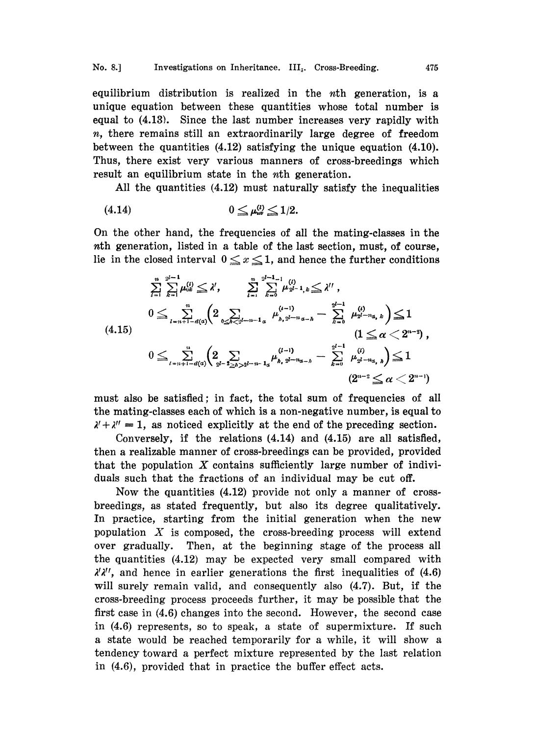equilibrium distribution is realized in the nth generation, is a unique equation between these quantities whose total number is equal to (4.13). Since the last number increases very rapidly with n, there remains still an extraordinarily large degree of freedom between the quantities (4.12) satisfying the unique equation (4.10). Thus, there exist very various manners of cross-breedings which result an equilibrium state in the *n*th generation.

All the quantities (4.12) must naturally satisfy the inequalities

$$
(4.14) \t\t\t 0 \leq \mu_{uv}^{(l)} \leq 1/2.
$$

On the other hand, the frequencies of all the mating-classes in the nth generation, listed in a table of the last section, must, of course, lie in the closed interval  $0 \le x \le 1$ , and hence the further conditions

$$
\sum_{l=1}^{n} \sum_{k=1}^{2^{l-1}} \mu_{0k}^{(l)} \leq \lambda', \qquad \sum_{l=1}^{n} \sum_{k=0}^{2^{l-1}-1} \mu_{2^{l-1},k}^{(l)} \leq \lambda'',
$$
\n
$$
0 \leq \sum_{l=n+1-d(\alpha)} \left(2 \sum_{0 \leq k \leq 2^{l-n-1}a} \mu_{h,2^{l-n}a-h}^{(l-1)} - \sum_{k=0}^{2^{l-1}} \mu_{2^{l-n}a,k}^{(l)}\right) \leq 1
$$
\n
$$
(4.15)
$$
\n
$$
0 \leq \sum_{l=n+1-d(\alpha)}^{n} \left(2 \sum_{2^{l-2} \leq h > 2^{l-n-1}a} \mu_{h,2^{l-n}a-h}^{(l-1)} - \sum_{k=0}^{2^{l-1}} \mu_{2^{l-n}a,h}^{(l)}\right) \leq 1
$$
\n
$$
(2^{n-2} \leq \alpha < 2^{n-1})
$$

must also be satisfied; in fact, the total sum of frequencies of all the mating-classes each of which is a non-negative number, is equal to  $\lambda' + \lambda'' = 1$ , as noticed explicitly at the end of the preceding section.

Conversely, if the relations  $(4.14)$  and  $(4.15)$  are all satisfied, then a realizable manner of cross-breedings can be provided, provided that the population  $X$  contains sufficiently large number of individuals such that the fractions of an individual may be cut off.

Now the quantities (4.12) provide not only <sup>a</sup> manner of crossbreedings, as stated frequently, but also its degree qualitatively. In practice, starting from the initial generation when the new population  $X$  is composed, the cross-breeding process will extend over gradually. Then, at the beginning stage of the process all the quantities (4.12) may be expected very small compared with  $\lambda' \lambda''$ , and hence in earlier generations the first inequalities of (4.6) will surely remain valid, and consequently also  $(4.7)$ . But, if the cross-breeding process proceeds further, it may be possible that the first case in (4.6) changes into the second. However, the second case in (4.6) represents, so to speak, a state of supermixture. If such a state would be reached temporarily for a while, it will show a tendency toward a perfect mixture represented by the last relation in (4.6), provided that in practice the buffer effect acts.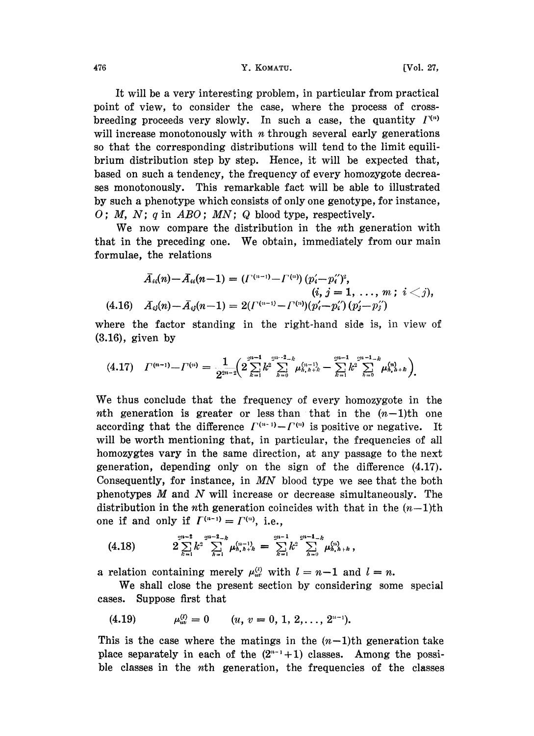476 **Y. KOMATU.** [Vol. 27,

It will be a very interesting problem, in particular from practical point of view, to consider the case, where the process of crossbreeding proceeds very slowly. In such a case, the quantity  $I^{(n)}$ will increase monotonously with  $n$  through several early generations so that the corresponding distributions will tend to the limit equilibrium distribution step by step. Hence, it will be expected that, based on such a tendency, the frequency of every homozygote decreases monotonously. This remarkable fact will be able to illustrated by such a phenotype which consists of only one genotype, for instance, O; M, N; q in  $ABO$ ; MN; Q blood type, respectively.

We now compare the distribution in the n<sup>th</sup> generation with that in the preceding one. We obtain, immediately from our main formulae, the relations

$$
A_{ii}(n) - A_{ii}(n-1) = ({\Gamma}^{(n-1)} - {\Gamma}^{(n)}) (p'_i - p''_i)^2, (i, j = 1, ..., m; i < j), (4.16) \quad A_{ij}(n) - \bar{A}_{ij}(n-1) = 2({\Gamma}^{(n-1)} - {\Gamma}^{(n)}) (p'_i - p''_i) (p'_j - p''_j)
$$

where the factor standing in the right-hand side is, in view of (3.16), given by

$$
(4.17) \quad \Gamma^{(n-1)} - \Gamma^{(n)} = \frac{1}{2^{2n-2}} \Big( 2 \sum_{k=1}^{2^{2n-1}} k^2 \sum_{h=0}^{2^{2k-2}-k} \mu_{h,h+h}^{(n-1)} - \sum_{k=1}^{2^{2k-1}} k^2 \sum_{h=0}^{2^{2k-1}-k} \mu_{h,h+h}^{(n)} \Big).
$$

We thus conclude that the frequency of every homozygote in the nth generation is greater or less than that in the  $(n-1)$ th one according that the difference  $\Gamma^{(n-1)} - \Gamma^{(n)}$  is positive or negative. It will be worth mentioning that, in particular, the frequencies of all homozygtes vary in the same direction, at any passage to the next generation, depending only on the sign of the difference (4.17). Consequently, for instance, in  $MN$  blood type we see that the both phenotypes M and N will increase or decrease simultaneously. The distribution in the *n*th generation coincides with that in the  $(n-1)$ th one if and only if  $\Gamma^{(n-1)} = \Gamma^{(n)}$ , i.e.,

$$
(4.18) \qquad 2\sum_{k=1}^{2n-2}k^2\sum_{h=1}^{2^{n-2}-k}\mu_{h,h+k}^{(n-1)}=\sum_{k=1}^{2^{n-1}}k^2\sum_{h=0}^{2^{n-1}-k}\mu_{h,h+k}^{(n)},
$$

a relation containing merely  $\mu_{uv}^{(l)}$  with  $l=n-1$  and  $l=n$ .

We shall close the present section by considering some special cases. Suppose first that

$$
(4.19) \t\t \mu_{uv}^{(l)} = 0 \t\t (u, v = 0, 1, 2, ..., 2^{n-1}).
$$

This is the case where the matings in the  $(n-1)$ th generation take place separately in each of the  $(2^{n-1}+1)$  classes. Among the possible classes in the nth generation, the frequencies of the classes